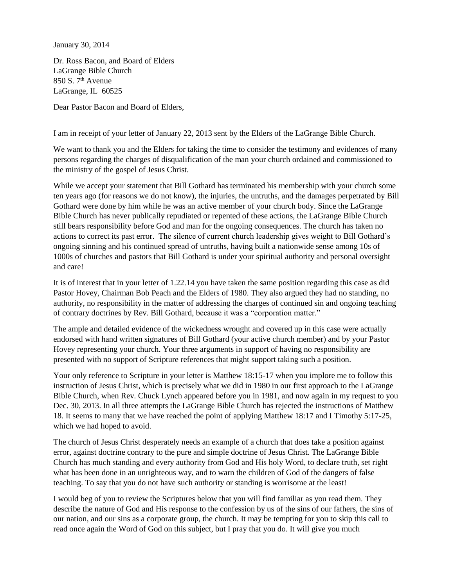January 30, 2014

Dr. Ross Bacon, and Board of Elders LaGrange Bible Church 850 S. 7<sup>th</sup> Avenue LaGrange, IL 60525

Dear Pastor Bacon and Board of Elders,

I am in receipt of your letter of January 22, 2013 sent by the Elders of the LaGrange Bible Church.

We want to thank you and the Elders for taking the time to consider the testimony and evidences of many persons regarding the charges of disqualification of the man your church ordained and commissioned to the ministry of the gospel of Jesus Christ.

While we accept your statement that Bill Gothard has terminated his membership with your church some ten years ago (for reasons we do not know), the injuries, the untruths, and the damages perpetrated by Bill Gothard were done by him while he was an active member of your church body. Since the LaGrange Bible Church has never publically repudiated or repented of these actions, the LaGrange Bible Church still bears responsibility before God and man for the ongoing consequences. The church has taken no actions to correct its past error. The silence of current church leadership gives weight to Bill Gothard's ongoing sinning and his continued spread of untruths, having built a nationwide sense among 10s of 1000s of churches and pastors that Bill Gothard is under your spiritual authority and personal oversight and care!

It is of interest that in your letter of 1.22.14 you have taken the same position regarding this case as did Pastor Hovey, Chairman Bob Peach and the Elders of 1980. They also argued they had no standing, no authority, no responsibility in the matter of addressing the charges of continued sin and ongoing teaching of contrary doctrines by Rev. Bill Gothard, because it was a "corporation matter."

The ample and detailed evidence of the wickedness wrought and covered up in this case were actually endorsed with hand written signatures of Bill Gothard (your active church member) and by your Pastor Hovey representing your church. Your three arguments in support of having no responsibility are presented with no support of Scripture references that might support taking such a position.

Your only reference to Scripture in your letter is Matthew 18:15-17 when you implore me to follow this instruction of Jesus Christ, which is precisely what we did in 1980 in our first approach to the LaGrange Bible Church, when Rev. Chuck Lynch appeared before you in 1981, and now again in my request to you Dec. 30, 2013. In all three attempts the LaGrange Bible Church has rejected the instructions of Matthew 18. It seems to many that we have reached the point of applying Matthew 18:17 and I Timothy 5:17-25, which we had hoped to avoid.

The church of Jesus Christ desperately needs an example of a church that does take a position against error, against doctrine contrary to the pure and simple doctrine of Jesus Christ. The LaGrange Bible Church has much standing and every authority from God and His holy Word, to declare truth, set right what has been done in an unrighteous way, and to warn the children of God of the dangers of false teaching. To say that you do not have such authority or standing is worrisome at the least!

I would beg of you to review the Scriptures below that you will find familiar as you read them. They describe the nature of God and His response to the confession by us of the sins of our fathers, the sins of our nation, and our sins as a corporate group, the church. It may be tempting for you to skip this call to read once again the Word of God on this subject, but I pray that you do. It will give you much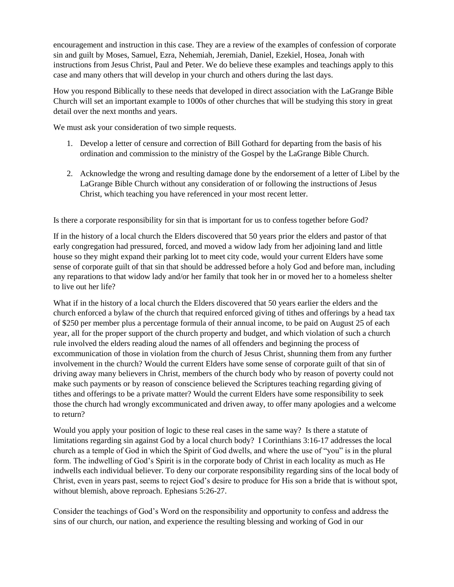encouragement and instruction in this case. They are a review of the examples of confession of corporate sin and guilt by Moses, Samuel, Ezra, Nehemiah, Jeremiah, Daniel, Ezekiel, Hosea, Jonah with instructions from Jesus Christ, Paul and Peter. We do believe these examples and teachings apply to this case and many others that will develop in your church and others during the last days.

How you respond Biblically to these needs that developed in direct association with the LaGrange Bible Church will set an important example to 1000s of other churches that will be studying this story in great detail over the next months and years.

We must ask your consideration of two simple requests.

- 1. Develop a letter of censure and correction of Bill Gothard for departing from the basis of his ordination and commission to the ministry of the Gospel by the LaGrange Bible Church.
- 2. Acknowledge the wrong and resulting damage done by the endorsement of a letter of Libel by the LaGrange Bible Church without any consideration of or following the instructions of Jesus Christ, which teaching you have referenced in your most recent letter.

Is there a corporate responsibility for sin that is important for us to confess together before God?

If in the history of a local church the Elders discovered that 50 years prior the elders and pastor of that early congregation had pressured, forced, and moved a widow lady from her adjoining land and little house so they might expand their parking lot to meet city code, would your current Elders have some sense of corporate guilt of that sin that should be addressed before a holy God and before man, including any reparations to that widow lady and/or her family that took her in or moved her to a homeless shelter to live out her life?

What if in the history of a local church the Elders discovered that 50 years earlier the elders and the church enforced a bylaw of the church that required enforced giving of tithes and offerings by a head tax of \$250 per member plus a percentage formula of their annual income, to be paid on August 25 of each year, all for the proper support of the church property and budget, and which violation of such a church rule involved the elders reading aloud the names of all offenders and beginning the process of excommunication of those in violation from the church of Jesus Christ, shunning them from any further involvement in the church? Would the current Elders have some sense of corporate guilt of that sin of driving away many believers in Christ, members of the church body who by reason of poverty could not make such payments or by reason of conscience believed the Scriptures teaching regarding giving of tithes and offerings to be a private matter? Would the current Elders have some responsibility to seek those the church had wrongly excommunicated and driven away, to offer many apologies and a welcome to return?

Would you apply your position of logic to these real cases in the same way? Is there a statute of limitations regarding sin against God by a local church body? I Corinthians 3:16-17 addresses the local church as a temple of God in which the Spirit of God dwells, and where the use of "you" is in the plural form. The indwelling of God's Spirit is in the corporate body of Christ in each locality as much as He indwells each individual believer. To deny our corporate responsibility regarding sins of the local body of Christ, even in years past, seems to reject God's desire to produce for His son a bride that is without spot, without blemish, above reproach. Ephesians 5:26-27.

Consider the teachings of God's Word on the responsibility and opportunity to confess and address the sins of our church, our nation, and experience the resulting blessing and working of God in our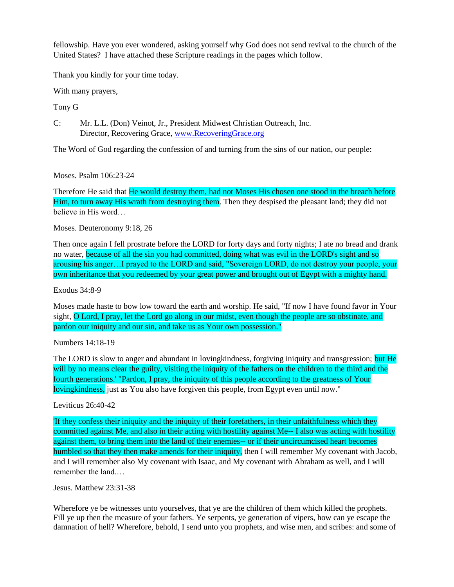fellowship. Have you ever wondered, asking yourself why God does not send revival to the church of the United States? I have attached these Scripture readings in the pages which follow.

Thank you kindly for your time today.

With many prayers,

Tony G

C: Mr. L.L. (Don) Veinot, Jr., President Midwest Christian Outreach, Inc. Director, Recovering Grace, [www.RecoveringGrace.org](http://www.recoveringgrace.org/)

The Word of God regarding the confession of and turning from the sins of our nation, our people:

Moses. Psalm 106:23-24

Therefore He said that He would destroy them, had not Moses His chosen one stood in the breach before Him, to turn away His wrath from destroying them. Then they despised the pleasant land; they did not believe in His word…

Moses. Deuteronomy 9:18, 26

Then once again I fell prostrate before the LORD for forty days and forty nights; I ate no bread and drank no water, because of all the sin you had committed, doing what was evil in the LORD's sight and so arousing his anger…I prayed to the LORD and said, "Sovereign LORD, do not destroy your people, your own inheritance that you redeemed by your great power and brought out of Egypt with a mighty hand.

Exodus 34:8-9

Moses made haste to bow low toward the earth and worship. He said, "If now I have found favor in Your sight, O Lord, I pray, let the Lord go along in our midst, even though the people are so obstinate, and pardon our iniquity and our sin, and take us as Your own possession."

Numbers 14:18-19

The LORD is slow to anger and abundant in loving kindness, for giving iniquity and transgression; but He will by no means clear the guilty, visiting the iniquity of the fathers on the children to the third and the fourth generations.' "Pardon, I pray, the iniquity of this people according to the greatness of Your loving kindness, just as You also have forgiven this people, from Egypt even until now."

Leviticus 26:40-42

'If they confess their iniquity and the iniquity of their forefathers, in their unfaithfulness which they committed against Me, and also in their acting with hostility against Me-- I also was acting with hostility against them, to bring them into the land of their enemies-- or if their uncircumcised heart becomes humbled so that they then make amends for their iniquity, then I will remember My covenant with Jacob, and I will remember also My covenant with Isaac, and My covenant with Abraham as well, and I will remember the land.…

Jesus. Matthew 23:31-38

Wherefore ye be witnesses unto yourselves, that ye are the children of them which killed the prophets. Fill ye up then the measure of your fathers. Ye serpents, ye generation of vipers, how can ye escape the damnation of hell? Wherefore, behold, I send unto you prophets, and wise men, and scribes: and some of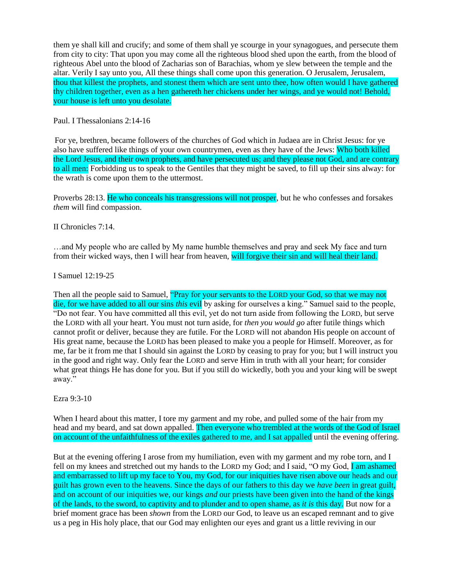them ye shall kill and crucify; and some of them shall ye scourge in your synagogues, and persecute them from city to city: That upon you may come all the righteous blood shed upon the earth, from the blood of righteous Abel unto the blood of Zacharias son of Barachias, whom ye slew between the temple and the altar. Verily I say unto you, All these things shall come upon this generation. O Jerusalem, Jerusalem, thou that killest the prophets, and stonest them which are sent unto thee, how often would I have gathered thy children together, even as a hen gathereth her chickens under her wings, and ye would not! Behold, your house is left unto you desolate.

Paul. I Thessalonians 2:14-16

For ye, brethren, became followers of the churches of God which in Judaea are in Christ Jesus: for ye also have suffered like things of your own countrymen, even as they have of the Jews: Who both killed the Lord Jesus, and their own prophets, and have persecuted us; and they please not God, and are contrary to all men: Forbidding us to speak to the Gentiles that they might be saved, to fill up their sins alway: for the wrath is come upon them to the uttermost.

Proverbs 28:13. He who conceals his transgressions will not prosper, but he who confesses and forsakes *them* will find compassion.

II Chronicles 7:14.

…and My people who are called by My name humble themselves and pray and seek My face and turn from their wicked ways, then I will hear from heaven, will forgive their sin and will heal their land.

I Samuel 12:19-25

Then all the people said to Samuel, "Pray for your servants to the LORD your God, so that we may not die, for we have added to all our sins *this* evil by asking for ourselves a king." Samuel said to the people, "Do not fear. You have committed all this evil, yet do not turn aside from following the LORD, but serve the LORD with all your heart. You must not turn aside, for *then you would go* after futile things which cannot profit or deliver, because they are futile. For the LORD will not abandon His people on account of His great name, because the LORD has been pleased to make you a people for Himself. Moreover, as for me, far be it from me that I should sin against the LORD by ceasing to pray for you; but I will instruct you in the good and right way. Only fear the LORD and serve Him in truth with all your heart; for consider what great things He has done for you. But if you still do wickedly, both you and your king will be swept away."

Ezra 9:3-10

When I heard about this matter, I tore my garment and my robe, and pulled some of the hair from my head and my beard, and sat down appalled. Then everyone who trembled at the words of the God of Israel on account of the unfaithfulness of the exiles gathered to me, and I sat appalled until the evening offering.

But at the evening offering I arose from my humiliation, even with my garment and my robe torn, and I fell on my knees and stretched out my hands to the LORD my God; and I said, "O my God, I am ashamed and embarrassed to lift up my face to You, my God, for our iniquities have risen above our heads and our guilt has grown even to the heavens. Since the days of our fathers to this day we *have been* in great guilt, and on account of our iniquities we, our kings *and* our priests have been given into the hand of the kings of the lands, to the sword, to captivity and to plunder and to open shame, as *it is* this day. But now for a brief moment grace has been *shown* from the LORD our God, to leave us an escaped remnant and to give us a peg in His holy place, that our God may enlighten our eyes and grant us a little reviving in our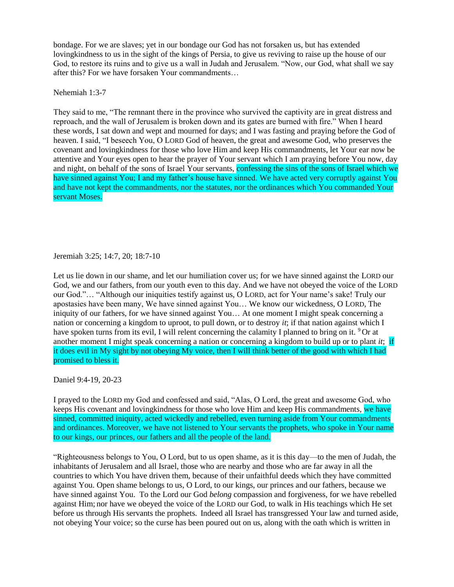bondage. For we are slaves; yet in our bondage our God has not forsaken us, but has extended lovingkindness to us in the sight of the kings of Persia, to give us reviving to raise up the house of our God, to restore its ruins and to give us a wall in Judah and Jerusalem. "Now, our God, what shall we say after this? For we have forsaken Your commandments…

Nehemiah 1:3-7

They said to me, "The remnant there in the province who survived the captivity are in great distress and reproach, and the wall of Jerusalem is broken down and its gates are burned with fire." When I heard these words, I sat down and wept and mourned for days; and I was fasting and praying before the God of heaven. I said, "I beseech You, O LORD God of heaven, the great and awesome God, who preserves the covenant and lovingkindness for those who love Him and keep His commandments, let Your ear now be attentive and Your eyes open to hear the prayer of Your servant which I am praying before You now, day and night, on behalf of the sons of Israel Your servants, confessing the sins of the sons of Israel which we have sinned against You; I and my father's house have sinned. We have acted very corruptly against You and have not kept the commandments, nor the statutes, nor the ordinances which You commanded Your servant Moses.

Jeremiah 3:25; 14:7, 20; 18:7-10

Let us lie down in our shame, and let our humiliation cover us; for we have sinned against the LORD our God, we and our fathers, from our youth even to this day. And we have not obeyed the voice of the LORD our God."… "Although our iniquities testify against us, O LORD, act for Your name's sake! Truly our apostasies have been many, We have sinned against You… We know our wickedness, O LORD, The iniquity of our fathers, for we have sinned against You… At one moment I might speak concerning a nation or concerning a kingdom to uproot, to pull down, or to destroy *it*; if that nation against which I have spoken turns from its evil, I will relent concerning the calamity I planned to bring on it. <sup>9</sup> Or at another moment I might speak concerning a nation or concerning a kingdom to build up or to plant *it*; if it does evil in My sight by not obeying My voice, then I will think better of the good with which I had promised to bless it.

Daniel 9:4-19, 20-23

I prayed to the LORD my God and confessed and said, "Alas, O Lord, the great and awesome God, who keeps His covenant and loving kindness for those who love Him and keep His commandments, we have sinned, committed iniquity, acted wickedly and rebelled, even turning aside from Your commandments and ordinances. Moreover, we have not listened to Your servants the prophets, who spoke in Your name to our kings, our princes, our fathers and all the people of the land.

"Righteousness belongs to You, O Lord, but to us open shame, as it is this day—to the men of Judah, the inhabitants of Jerusalem and all Israel, those who are nearby and those who are far away in all the countries to which You have driven them, because of their unfaithful deeds which they have committed against You. Open shame belongs to us, O Lord, to our kings, our princes and our fathers, because we have sinned against You. To the Lord our God *belong* compassion and forgiveness, for we have rebelled against Him; nor have we obeyed the voice of the LORD our God, to walk in His teachings which He set before us through His servants the prophets. Indeed all Israel has transgressed Your law and turned aside, not obeying Your voice; so the curse has been poured out on us, along with the oath which is written in